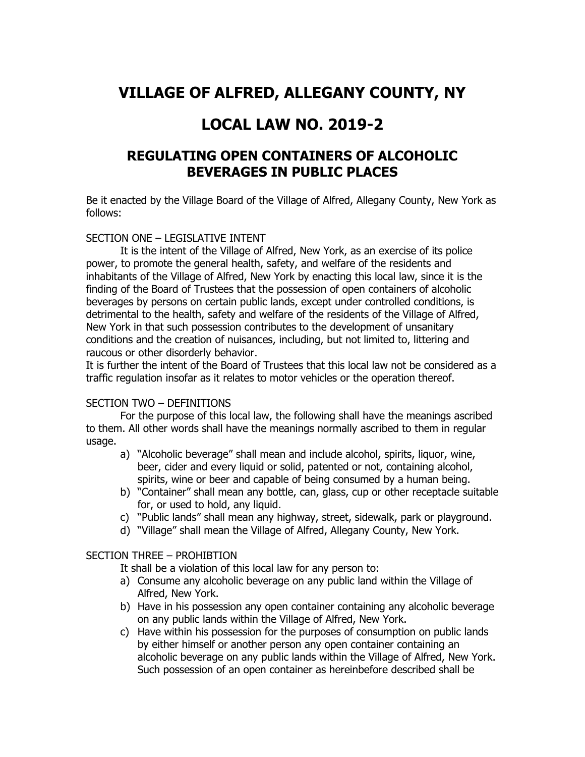# **VILLAGE OF ALFRED, ALLEGANY COUNTY, NY**

## **LOCAL LAW NO. 2019-2**

## **REGULATING OPEN CONTAINERS OF ALCOHOLIC BEVERAGES IN PUBLIC PLACES**

Be it enacted by the Village Board of the Village of Alfred, Allegany County, New York as follows:

## SECTION ONE – LEGISLATIVE INTENT

It is the intent of the Village of Alfred, New York, as an exercise of its police power, to promote the general health, safety, and welfare of the residents and inhabitants of the Village of Alfred, New York by enacting this local law, since it is the finding of the Board of Trustees that the possession of open containers of alcoholic beverages by persons on certain public lands, except under controlled conditions, is detrimental to the health, safety and welfare of the residents of the Village of Alfred, New York in that such possession contributes to the development of unsanitary conditions and the creation of nuisances, including, but not limited to, littering and raucous or other disorderly behavior.

It is further the intent of the Board of Trustees that this local law not be considered as a traffic regulation insofar as it relates to motor vehicles or the operation thereof.

## SECTION TWO – DEFINITIONS

For the purpose of this local law, the following shall have the meanings ascribed to them. All other words shall have the meanings normally ascribed to them in regular usage.

- a) "Alcoholic beverage" shall mean and include alcohol, spirits, liquor, wine, beer, cider and every liquid or solid, patented or not, containing alcohol, spirits, wine or beer and capable of being consumed by a human being.
- b) "Container" shall mean any bottle, can, glass, cup or other receptacle suitable for, or used to hold, any liquid.
- c) "Public lands" shall mean any highway, street, sidewalk, park or playground.
- d) "Village" shall mean the Village of Alfred, Allegany County, New York.

## SECTION THREE – PROHIBTION

It shall be a violation of this local law for any person to:

- a) Consume any alcoholic beverage on any public land within the Village of Alfred, New York.
- b) Have in his possession any open container containing any alcoholic beverage on any public lands within the Village of Alfred, New York.
- c) Have within his possession for the purposes of consumption on public lands by either himself or another person any open container containing an alcoholic beverage on any public lands within the Village of Alfred, New York. Such possession of an open container as hereinbefore described shall be